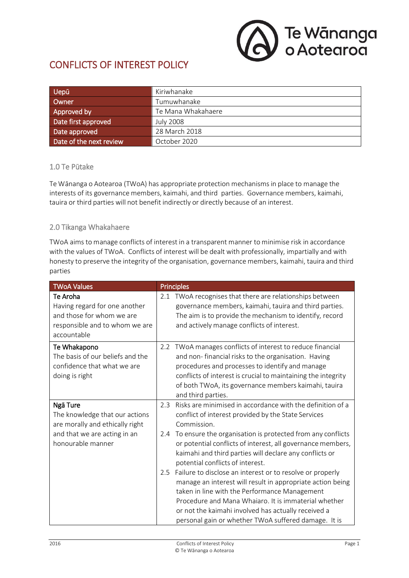

# CONFLICTS OF INTEREST POLICY

| Uepū                    | Kiriwhanake        |
|-------------------------|--------------------|
| Owner                   | Tumuwhanake        |
| Approved by             | Te Mana Whakahaere |
| Date first approved     | <b>July 2008</b>   |
| Date approved           | 28 March 2018      |
| Date of the next review | October 2020       |

#### 1.0 Te Pūtake

Te Wānanga o Aotearoa (TWoA) has appropriate protection mechanisms in place to manage the interests of its governance members, kaimahi, and third parties. Governance members, kaimahi, tauira or third parties will not benefit indirectly or directly because of an interest.

#### 2.0 Tikanga Whakahaere

TWoA aims to manage conflicts of interest in a transparent manner to minimise risk in accordance with the values of TWoA. Conflicts of interest will be dealt with professionally, impartially and with honesty to preserve the integrity of the organisation, governance members, kaimahi, tauira and third parties

| <b>TWoA Values</b>                                                                                                      | <b>Principles</b>                                                                                                                                                                                                                                                                                                                                      |
|-------------------------------------------------------------------------------------------------------------------------|--------------------------------------------------------------------------------------------------------------------------------------------------------------------------------------------------------------------------------------------------------------------------------------------------------------------------------------------------------|
| Te Aroha<br>Having regard for one another<br>and those for whom we are<br>responsible and to whom we are<br>accountable | TWoA recognises that there are relationships between<br>2.1<br>governance members, kaimahi, tauira and third parties.<br>The aim is to provide the mechanism to identify, record<br>and actively manage conflicts of interest.                                                                                                                         |
| Te Whakapono<br>The basis of our beliefs and the<br>confidence that what we are<br>doing is right                       | 2.2 TWoA manages conflicts of interest to reduce financial<br>and non-financial risks to the organisation. Having<br>procedures and processes to identify and manage<br>conflicts of interest is crucial to maintaining the integrity<br>of both TWoA, its governance members kaimahi, tauira<br>and third parties.                                    |
| Ngā Ture<br>The knowledge that our actions<br>are morally and ethically right                                           | Risks are minimised in accordance with the definition of a<br>2.3<br>conflict of interest provided by the State Services<br>Commission.                                                                                                                                                                                                                |
| and that we are acting in an<br>honourable manner                                                                       | To ensure the organisation is protected from any conflicts<br>2.4<br>or potential conflicts of interest, all governance members,<br>kaimahi and third parties will declare any conflicts or<br>potential conflicts of interest.                                                                                                                        |
|                                                                                                                         | Failure to disclose an interest or to resolve or properly<br>2.5<br>manage an interest will result in appropriate action being<br>taken in line with the Performance Management<br>Procedure and Mana Whaiaro. It is immaterial whether<br>or not the kaimahi involved has actually received a<br>personal gain or whether TWoA suffered damage. It is |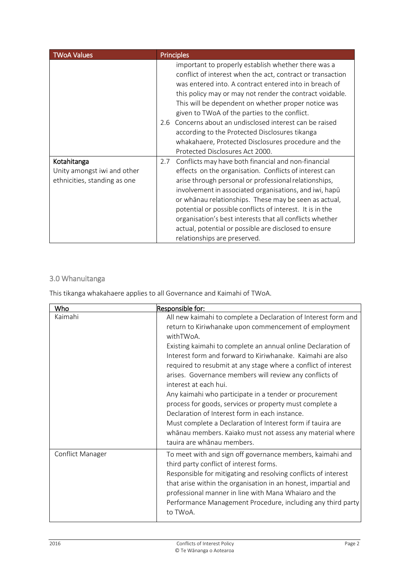| <b>TWoA Values</b>                                                         | <b>Principles</b>                                                                                                                                                                                                                                                                                                                                                                                                                                                                                                                                          |
|----------------------------------------------------------------------------|------------------------------------------------------------------------------------------------------------------------------------------------------------------------------------------------------------------------------------------------------------------------------------------------------------------------------------------------------------------------------------------------------------------------------------------------------------------------------------------------------------------------------------------------------------|
|                                                                            | important to properly establish whether there was a<br>conflict of interest when the act, contract or transaction<br>was entered into. A contract entered into in breach of<br>this policy may or may not render the contract voidable.<br>This will be dependent on whether proper notice was<br>given to TWoA of the parties to the conflict.<br>Concerns about an undisclosed interest can be raised<br>2.6<br>according to the Protected Disclosures tikanga<br>whakahaere, Protected Disclosures procedure and the<br>Protected Disclosures Act 2000. |
| Kotahitanga<br>Unity amongst iwi and other<br>ethnicities, standing as one | Conflicts may have both financial and non-financial<br>2.7<br>effects on the organisation. Conflicts of interest can<br>arise through personal or professional relationships,<br>involvement in associated organisations, and iwi, hapū<br>or whanau relationships. These may be seen as actual,<br>potential or possible conflicts of interest. It is in the<br>organisation's best interests that all conflicts whether<br>actual, potential or possible are disclosed to ensure<br>relationships are preserved.                                         |

## 3.0 Whanuitanga

This tikanga whakahaere applies to all Governance and Kaimahi of TWoA.

| Who              | Responsible for:                                                                                                                                                                                                                                                                                                                                                                                                                                                                                                                                                                                                                                                                                                                                         |
|------------------|----------------------------------------------------------------------------------------------------------------------------------------------------------------------------------------------------------------------------------------------------------------------------------------------------------------------------------------------------------------------------------------------------------------------------------------------------------------------------------------------------------------------------------------------------------------------------------------------------------------------------------------------------------------------------------------------------------------------------------------------------------|
| Kaimahi          | All new kaimahi to complete a Declaration of Interest form and<br>return to Kiriwhanake upon commencement of employment<br>withTWoA.<br>Existing kaimahi to complete an annual online Declaration of<br>Interest form and forward to Kiriwhanake. Kaimahi are also<br>required to resubmit at any stage where a conflict of interest<br>arises. Governance members will review any conflicts of<br>interest at each hui.<br>Any kaimahi who participate in a tender or procurement<br>process for goods, services or property must complete a<br>Declaration of Interest form in each instance.<br>Must complete a Declaration of Interest form if tauira are<br>whānau members. Kaiako must not assess any material where<br>tauira are whānau members. |
| Conflict Manager | To meet with and sign off governance members, kaimahi and<br>third party conflict of interest forms.<br>Responsible for mitigating and resolving conflicts of interest<br>that arise within the organisation in an honest, impartial and<br>professional manner in line with Mana Whaiaro and the<br>Performance Management Procedure, including any third party<br>to TWoA.                                                                                                                                                                                                                                                                                                                                                                             |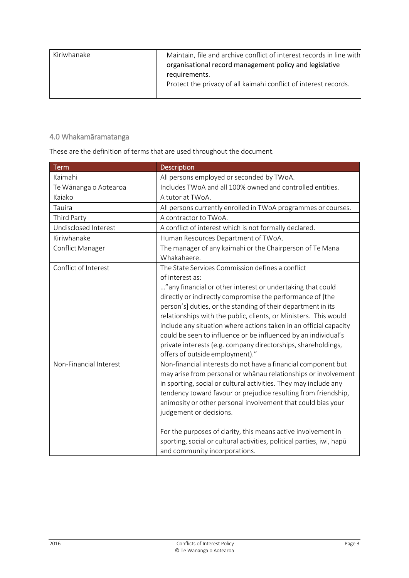| Kiriwhanake | Maintain, file and archive conflict of interest records in line with<br>organisational record management policy and legislative<br>requirements.<br>Protect the privacy of all kaimahi conflict of interest records. |
|-------------|----------------------------------------------------------------------------------------------------------------------------------------------------------------------------------------------------------------------|
|             |                                                                                                                                                                                                                      |

## 4.0 Whakamāramatanga

These are the definition of terms that are used throughout the document.

| <b>Term</b>            | Description                                                                                                                                                                                                                                                                                                                                                                                                                                                                                                                                                                    |
|------------------------|--------------------------------------------------------------------------------------------------------------------------------------------------------------------------------------------------------------------------------------------------------------------------------------------------------------------------------------------------------------------------------------------------------------------------------------------------------------------------------------------------------------------------------------------------------------------------------|
| Kaimahi                | All persons employed or seconded by TWoA.                                                                                                                                                                                                                                                                                                                                                                                                                                                                                                                                      |
| Te Wānanga o Aotearoa  | Includes TWoA and all 100% owned and controlled entities.                                                                                                                                                                                                                                                                                                                                                                                                                                                                                                                      |
| Kaiako                 | A tutor at TWoA.                                                                                                                                                                                                                                                                                                                                                                                                                                                                                                                                                               |
| Tauira                 | All persons currently enrolled in TWoA programmes or courses.                                                                                                                                                                                                                                                                                                                                                                                                                                                                                                                  |
| Third Party            | A contractor to TWoA.                                                                                                                                                                                                                                                                                                                                                                                                                                                                                                                                                          |
| Undisclosed Interest   | A conflict of interest which is not formally declared.                                                                                                                                                                                                                                                                                                                                                                                                                                                                                                                         |
| Kiriwhanake            | Human Resources Department of TWoA.                                                                                                                                                                                                                                                                                                                                                                                                                                                                                                                                            |
| Conflict Manager       | The manager of any kaimahi or the Chairperson of Te Mana<br>Whakahaere.                                                                                                                                                                                                                                                                                                                                                                                                                                                                                                        |
| Conflict of Interest   | The State Services Commission defines a conflict<br>of interest as:<br>" any financial or other interest or undertaking that could<br>directly or indirectly compromise the performance of [the<br>person's] duties, or the standing of their department in its<br>relationships with the public, clients, or Ministers. This would<br>include any situation where actions taken in an official capacity<br>could be seen to influence or be influenced by an individual's<br>private interests (e.g. company directorships, shareholdings,<br>offers of outside employment)." |
| Non-Financial Interest | Non-financial interests do not have a financial component but<br>may arise from personal or whanau relationships or involvement<br>in sporting, social or cultural activities. They may include any<br>tendency toward favour or prejudice resulting from friendship,<br>animosity or other personal involvement that could bias your<br>judgement or decisions.<br>For the purposes of clarity, this means active involvement in<br>sporting, social or cultural activities, political parties, iwi, hapū<br>and community incorporations.                                    |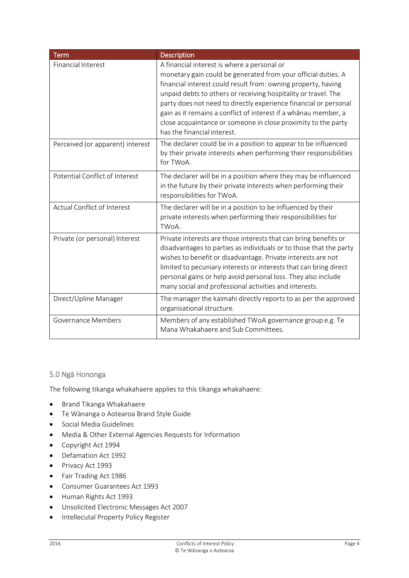| <b>Term</b>                      | Description                                                                                                                                                                                                                                                                                                                                                                                                                                                                            |
|----------------------------------|----------------------------------------------------------------------------------------------------------------------------------------------------------------------------------------------------------------------------------------------------------------------------------------------------------------------------------------------------------------------------------------------------------------------------------------------------------------------------------------|
| <b>Financial Interest</b>        | A financial interest is where a personal or<br>monetary gain could be generated from your official duties. A<br>financial interest could result from: owning property, having<br>unpaid debts to others or receiving hospitality or travel. The<br>party does not need to directly experience financial or personal<br>gain as it remains a conflict of interest if a whanau member, a<br>close acquaintance or someone in close proximity to the party<br>has the financial interest. |
| Perceived (or apparent) interest | The declarer could be in a position to appear to be influenced<br>by their private interests when performing their responsibilities<br>for TWoA.                                                                                                                                                                                                                                                                                                                                       |
| Potential Conflict of Interest   | The declarer will be in a position where they may be influenced<br>in the future by their private interests when performing their<br>responsibilities for TWoA.                                                                                                                                                                                                                                                                                                                        |
| Actual Conflict of Interest      | The declarer will be in a position to be influenced by their<br>private interests when performing their responsibilities for<br>TWoA.                                                                                                                                                                                                                                                                                                                                                  |
| Private (or personal) Interest   | Private interests are those interests that can bring benefits or<br>disadvantages to parties as individuals or to those that the party<br>wishes to benefit or disadvantage. Private interests are not<br>limited to pecuniary interests or interests that can bring direct<br>personal gains or help avoid personal loss. They also include<br>many social and professional activities and interests.                                                                                 |
| Direct/Upline Manager            | The manager the kaimahi directly reports to as per the approved<br>organisational structure.                                                                                                                                                                                                                                                                                                                                                                                           |
| Governance Members               | Members of any established TWoA governance group e.g. Te<br>Mana Whakahaere and Sub Committees.                                                                                                                                                                                                                                                                                                                                                                                        |

### 5.0 Ngā Hononga

The following tikanga whakahaere applies to this tikanga whakahaere:

- Brand Tikanga Whakahaere
- Te Wānanga o Aotearoa Brand Style Guide
- Social Media Guidelines
- Media & Other External Agencies Requests for Information
- Copyright Act 1994
- Defamation Act 1992
- Privacy Act 1993
- Fair Trading Act 1986
- Consumer Guarantees Act 1993
- Human Rights Act 1993
- Unsolicited Electronic Messages Act 2007
- **•** Intellecutal Property Policy Register